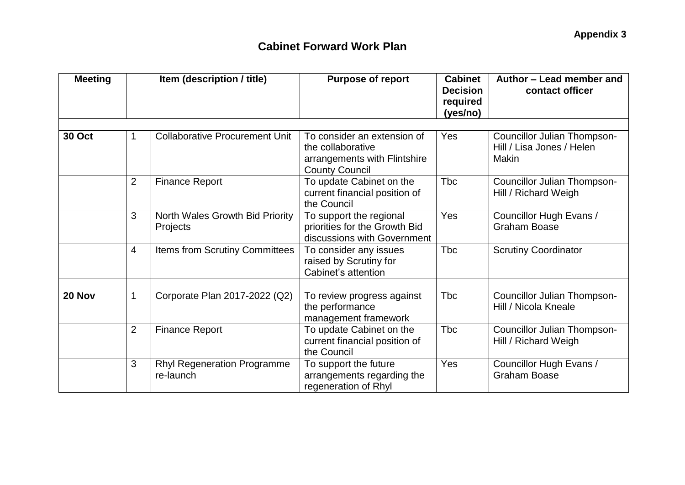| <b>Meeting</b> | Item (description / title) |                                                 | <b>Purpose of report</b>                                                                                  | <b>Cabinet</b><br><b>Decision</b><br>required<br>(yes/no) | Author - Lead member and<br>contact officer                                     |  |
|----------------|----------------------------|-------------------------------------------------|-----------------------------------------------------------------------------------------------------------|-----------------------------------------------------------|---------------------------------------------------------------------------------|--|
|                |                            |                                                 |                                                                                                           |                                                           |                                                                                 |  |
| <b>30 Oct</b>  |                            | <b>Collaborative Procurement Unit</b>           | To consider an extension of<br>the collaborative<br>arrangements with Flintshire<br><b>County Council</b> | Yes                                                       | <b>Councillor Julian Thompson-</b><br>Hill / Lisa Jones / Helen<br><b>Makin</b> |  |
|                | $\overline{2}$             | <b>Finance Report</b>                           | To update Cabinet on the<br>current financial position of<br>the Council                                  | Tbc                                                       | Councillor Julian Thompson-<br>Hill / Richard Weigh                             |  |
|                | 3                          | North Wales Growth Bid Priority<br>Projects     | To support the regional<br>priorities for the Growth Bid<br>discussions with Government                   | Yes                                                       | Councillor Hugh Evans /<br><b>Graham Boase</b>                                  |  |
|                | $\overline{4}$             | Items from Scrutiny Committees                  | To consider any issues<br>raised by Scrutiny for<br>Cabinet's attention                                   | <b>Tbc</b>                                                | <b>Scrutiny Coordinator</b>                                                     |  |
|                |                            |                                                 |                                                                                                           |                                                           |                                                                                 |  |
| 20 Nov         | $\mathbf 1$                | Corporate Plan 2017-2022 (Q2)                   | To review progress against<br>the performance<br>management framework                                     | <b>Tbc</b>                                                | Councillor Julian Thompson-<br>Hill / Nicola Kneale                             |  |
|                | $\overline{2}$             | <b>Finance Report</b>                           | To update Cabinet on the<br>current financial position of<br>the Council                                  | <b>Tbc</b>                                                | Councillor Julian Thompson-<br>Hill / Richard Weigh                             |  |
|                | 3                          | <b>Rhyl Regeneration Programme</b><br>re-launch | To support the future<br>arrangements regarding the<br>regeneration of Rhyl                               | Yes                                                       | Councillor Hugh Evans /<br><b>Graham Boase</b>                                  |  |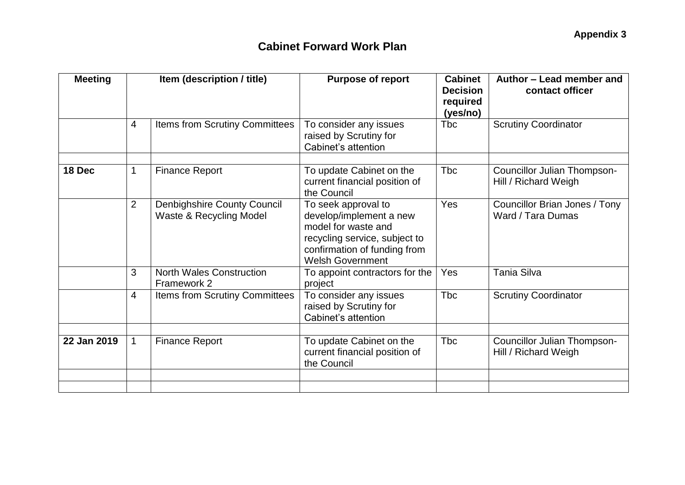| <b>Meeting</b> | Item (description / title) |                                                               | <b>Purpose of report</b>                                                                                                                                          | <b>Cabinet</b><br><b>Decision</b><br>required<br>(yes/no) | Author - Lead member and<br>contact officer         |
|----------------|----------------------------|---------------------------------------------------------------|-------------------------------------------------------------------------------------------------------------------------------------------------------------------|-----------------------------------------------------------|-----------------------------------------------------|
|                | 4                          | Items from Scrutiny Committees                                | To consider any issues<br>raised by Scrutiny for<br>Cabinet's attention                                                                                           | Tbc                                                       | <b>Scrutiny Coordinator</b>                         |
| 18 Dec         | $\mathbf{1}$               | <b>Finance Report</b>                                         | To update Cabinet on the<br>current financial position of<br>the Council                                                                                          | Tbc                                                       | Councillor Julian Thompson-<br>Hill / Richard Weigh |
|                | 2                          | <b>Denbighshire County Council</b><br>Waste & Recycling Model | To seek approval to<br>develop/implement a new<br>model for waste and<br>recycling service, subject to<br>confirmation of funding from<br><b>Welsh Government</b> | Yes                                                       | Councillor Brian Jones / Tony<br>Ward / Tara Dumas  |
|                | 3                          | <b>North Wales Construction</b><br>Framework 2                | To appoint contractors for the<br>project                                                                                                                         | Yes                                                       | <b>Tania Silva</b>                                  |
|                | $\overline{4}$             | <b>Items from Scrutiny Committees</b>                         | To consider any issues<br>raised by Scrutiny for<br>Cabinet's attention                                                                                           | <b>Tbc</b>                                                | <b>Scrutiny Coordinator</b>                         |
|                |                            |                                                               |                                                                                                                                                                   |                                                           |                                                     |
| 22 Jan 2019    | $\mathbf{1}$               | <b>Finance Report</b>                                         | To update Cabinet on the<br>current financial position of<br>the Council                                                                                          | Tbc                                                       | Councillor Julian Thompson-<br>Hill / Richard Weigh |
|                |                            |                                                               |                                                                                                                                                                   |                                                           |                                                     |
|                |                            |                                                               |                                                                                                                                                                   |                                                           |                                                     |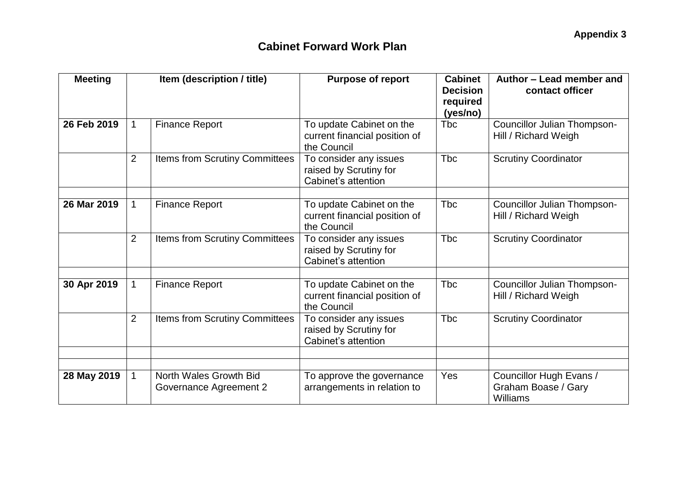| <b>Meeting</b> | Item (description / title) |                                                  | <b>Purpose of report</b>                                                 | <b>Cabinet</b><br><b>Decision</b><br>required<br>(yes/no) | Author - Lead member and<br>contact officer                |
|----------------|----------------------------|--------------------------------------------------|--------------------------------------------------------------------------|-----------------------------------------------------------|------------------------------------------------------------|
| 26 Feb 2019    | $\mathbf{1}$               | <b>Finance Report</b>                            | To update Cabinet on the<br>current financial position of<br>the Council | Tbc                                                       | <b>Councillor Julian Thompson-</b><br>Hill / Richard Weigh |
|                | $\overline{2}$             | Items from Scrutiny Committees                   | To consider any issues<br>raised by Scrutiny for<br>Cabinet's attention  | <b>Tbc</b>                                                | <b>Scrutiny Coordinator</b>                                |
| 26 Mar 2019    | $\mathbf{1}$               | <b>Finance Report</b>                            | To update Cabinet on the<br>current financial position of<br>the Council | <b>T</b> bc                                               | <b>Councillor Julian Thompson-</b><br>Hill / Richard Weigh |
|                | $\overline{2}$             | Items from Scrutiny Committees                   | To consider any issues<br>raised by Scrutiny for<br>Cabinet's attention  | <b>Tbc</b>                                                | <b>Scrutiny Coordinator</b>                                |
| 30 Apr 2019    | $\mathbf 1$                | <b>Finance Report</b>                            | To update Cabinet on the<br>current financial position of<br>the Council | <b>T</b> bc                                               | <b>Councillor Julian Thompson-</b><br>Hill / Richard Weigh |
|                | $\overline{2}$             | Items from Scrutiny Committees                   | To consider any issues<br>raised by Scrutiny for<br>Cabinet's attention  | <b>Tbc</b>                                                | <b>Scrutiny Coordinator</b>                                |
|                |                            |                                                  |                                                                          |                                                           |                                                            |
| 28 May 2019    | $\mathbf{1}$               | North Wales Growth Bid<br>Governance Agreement 2 | To approve the governance<br>arrangements in relation to                 | Yes                                                       | Councillor Hugh Evans /<br>Graham Boase / Gary<br>Williams |